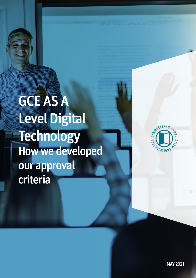GCE AS A Level Digital Technology How we developed our approval criteria

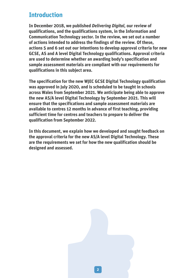# **Introduction**

**In December 2018, we published** *Delivering Digital,* **our review of qualifications, and the qualifications system, in the Information and Communication Technology sector. In the review, we set out a number of actions intended to address the findings of the review. Of these, actions 5 and 6 set out our intentions to develop approval criteria for new GCSE, AS and A level Digital Technology qualifications. Approval criteria are used to determine whether an awarding body's specification and sample assessment materials are compliant with our requirements for qualifications in this subject area.**

**The specification for the new WJEC GCSE Digital Technology qualification was approved in July 2020, and is scheduled to be taught in schools across Wales from September 2021. We anticipate being able to approve the new AS/A level Digital Technology by September 2021. This will ensure that the specifications and sample assessment materials are available to centres 12 months in advance of first teaching, providing sufficient time for centres and teachers to prepare to deliver the qualification from September 2022.** 

**In this document, we explain how we developed and sought feedback on the approval criteria for the new AS/A level Digital Technology. These are the requirements we set for how the new qualification should be designed and assessed.** 

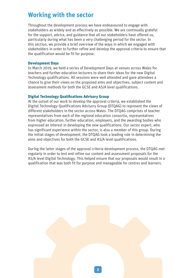# **Working with the sector**

Throughout the development process we have endeavoured to engage with stakeholders as widely and as effectively as possible. We are continually grateful for the support, advice, and guidance that all our stakeholders have offered us, particularly during what has been a very challenging period for the sector. In this section, we provide a brief overview of the ways in which we engaged with stakeholders in order to further refine and develop the approval criteria to ensure that the qualification would be fit for purpose.

## **Development Days**

In March 2019, we held a series of Development Days at venues across Wales for teachers and further education lecturers to share their ideas for the new Digital Technology qualifications. All sessions were well attended and gave attendees a chance to give their views on the proposed aims and objectives, subject content and assessment methods for both the GCSE and AS/A level qualifications.

## **Digital Technology Qualifications Advisory Group**

At the outset of our work to develop the approval criteria, we established the Digital Technology Qualifications Advisory Group (DTQAG) to represent the views of different stakeholders in the sector across Wales. The DTQAG comprises of teacher representatives from each of the regional education consortia, representatives from higher education, further education, employers, and the awarding bodies who expressed an interest in developing the new qualifications. Our sector expert, who has significant experience within the sector, is also a member of this group. During the initial stages of development, the DTQAG took a leading role in determining the aims and objectives for both the GCSE and AS/A level qualifications.

During the latter stages of the approval criteria development process, the DTQAG met regularly in order to test and refine our content and assessment proposals for the AS/A level Digital Technology. This helped ensure that our proposals would result in a qualification that was both fit for purpose and manageable for centres and learners.

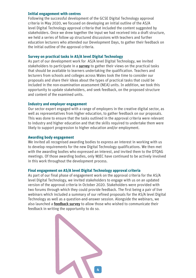#### **Initial engagement with centres**

Following the successful development of the GCSE Digital Technology approval criteria in May 2020, we focused on developing an initial outline of the AS/A level Digital Technology approval criteria that included the content suggested by stakeholders. Once we drew together the input we had received into a draft structure, we held a series of follow up structured discussions with teachers and further education lecturers who attended our Development Days, to gather their feedback on the initial outline of the approval criteria.

## **Survey on practical tasks in AS/A level Digital Technology**

As part of our development work for AS/A level Digital Technology, we invited stakeholders to participate in a **[survey](https://qualificationswales.org/media/6078/survey-on-practical-tasks-in-gce-as-a-level-digital-technology.pdf)** to gather their views on the practical tasks that should be available to learners undertaking the qualification. Teachers and lecturers from schools and colleges across Wales took the time to consider our proposals and share their ideas about the types of practical tasks that could be included in the non-examination assessment (NEA) units. In addition, we took this opportunity to update stakeholders, and seek feedback, on the proposed structure and content of the examined units.

## **Industry and employer engagement**

Our sector expert engaged with a range of employers in the creative digital sector, as well as representatives from higher education, to gather feedback on our proposals. This was done to ensure that the tasks outlined in the approval criteria were relevant to industry and higher education and that the skills required to undertake them were likely to support progression to higher education and/or employment.

## **Awarding body engagement**

We invited all recognised awarding bodies to express an interest in working with us to develop requirements for the new Digital Technology qualifications. We then met with the awarding bodies who expressed an interest, and invited them to the DTQAG meetings. Of those awarding bodies, only WJEC have continued to be actively involved in this work throughout the development process.

## **Final engagement on AS/A level Digital Technology approval criteria**

As part of our final phase of engagement work on the approval criteria for the AS/A level Digital Technology, we invited stakeholders to engage with us on an updated version of the approval criteria in October 2020. Stakeholders were provided with two forums through which they could provide feedback. The first being a pair of live webinars which included a summary of our refined proposals for the AS/A level Digital Technology as well as a question-and-answer session. Alongside the webinars, we also launched a **[feedback survey](https://qualificationswales.org/media/6494/as-a-level-digital-technology.pdf)** to allow those who wished to communicate their feedback in writing the opportunity to do so.

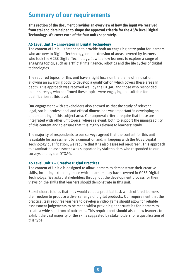# **Summary of our requirements**

**This section of the document provides an overview of how the input we received from stakeholders helped to shape the approval criteria for the AS/A level Digital Technology. We cover each of the four units separately.**

#### **AS Level Unit 1 – Innovation in Digital Technology**

The content of Unit 1 is intended to provide both an engaging entry point for learners who are new to Digital Technology, or an extension of areas covered by learners who took the GCSE Digital Technology. It will allow learners to explore a range of engaging topics, such as artificial intelligence, robotics and the life cycles of digital technologies.

The required topics for this unit have a tight focus on the theme of innovation, allowing an awarding body to develop a qualification which covers these areas in depth. This approach was received well by the DTQAG and those who responded to our surveys, who confirmed these topics were engaging and suitable for a qualification at this level.

Our engagement with stakeholders also showed us that the study of relevant legal, social, professional and ethical dimensions was important in developing an understanding of this subject area. Our approval criteria require that these are integrated with other unit topics, where relevant, both to support the manageability of this content and to ensure that it is highly relevant to learners' study.

The majority of respondents to our surveys agreed that the content for this unit is suitable for assessment by examination and, in keeping with the GCSE Digital Technology qualification, we require that it is also assessed on-screen. This approach to examination assessment was supported by stakeholders who responded to our surveys and by our DTQAG.

#### **AS Level Unit 2 – Creative Digital Practices**

The content of Unit 2 is designed to allow learners to demonstrate their creative skills, including extending those which learners may have covered in GCSE Digital Technology. We asked stakeholders throughout the development process for their views on the skills that learners should demonstrate in this unit.

Stakeholders told us that they would value a practical task which offered learners the freedom to produce a diverse range of digital products. Our requirement that the practical task requires learners to develop a video game should allow for reliable assessment judgements to be made whilst providing opportunities for learners to create a wide spectrum of outcomes. This requirement should also allow learners to exhibit the vast majority of the skills suggested by stakeholders for a qualification of this type.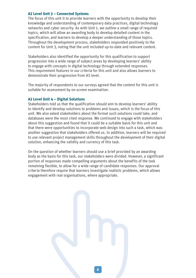#### **A2 Level Unit 3 – Connected Systems**

The focus of this unit it to provide learners with the opportunity to develop their knowledge and understanding of contemporary data practices, digital technology networks and cyber security. As with Unit 1, we outline a small range of required topics, which will allow an awarding body to develop detailed content in the specification, and learners to develop a deeper understanding of those topics. Throughout the development process, stakeholders responded positively to the content for Unit 3, noting that the unit included up-to-date and relevant content.

Stakeholders also identified the opportunity for this qualification to support progression into a wide range of subject areas by developing learners' ability to engage with concepts in digital technology through extended responses. This requirement features in our criteria for this unit and also allows learners to demonstrate their progression from AS level.

The majority of respondents to our surveys agreed that the content for this unit is suitable for assessment by on-screen examination.

## **A2 Level Unit 4 – Digital Solutions**

Stakeholders told us that the qualification should aim to develop learners' ability to identify and develop solutions to problems and issues, which is the focus of this unit. We also asked stakeholders about the format such solutions could take, and databases were the most cited response. We continued to engage with stakeholders about this suggestion and found that it could be a suitable basis for this unit and that there were opportunities to incorporate web design into such a task, which was another suggestion that stakeholders offered us. In addition, learners will be required to use relevant project management skills throughout the development of their digital solution, enhancing the validity and currency of this task.

On the question of whether learners should use a brief provided by an awarding body as the basis for this task, our stakeholders were divided. However, a significant portion of responses made compelling arguments about the benefits of the task remaining flexible, to allow for a wide range of candidate responses. Our approval criteria therefore require that learners investigate realistic problems, which allows engagement with real organisations, where appropriate.

**6**